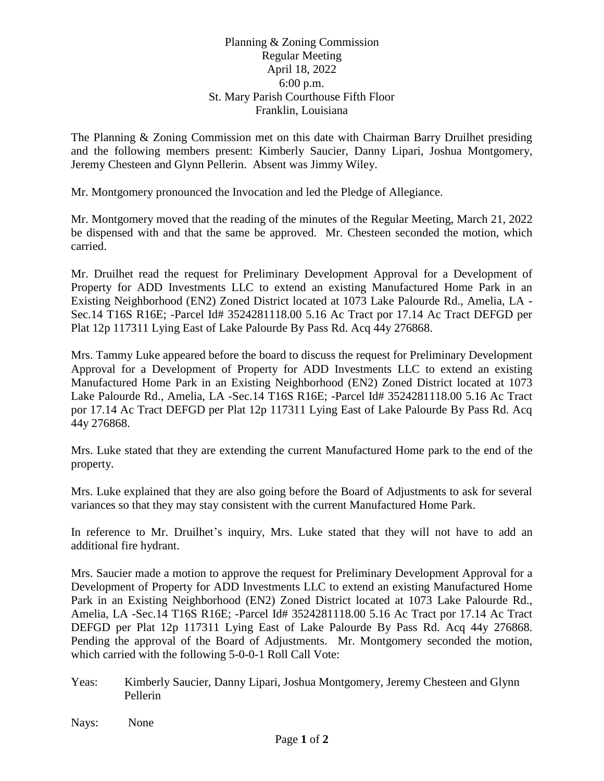## Planning & Zoning Commission Regular Meeting April 18, 2022 6:00 p.m. St. Mary Parish Courthouse Fifth Floor Franklin, Louisiana

The Planning & Zoning Commission met on this date with Chairman Barry Druilhet presiding and the following members present: Kimberly Saucier, Danny Lipari, Joshua Montgomery, Jeremy Chesteen and Glynn Pellerin. Absent was Jimmy Wiley.

Mr. Montgomery pronounced the Invocation and led the Pledge of Allegiance.

Mr. Montgomery moved that the reading of the minutes of the Regular Meeting, March 21, 2022 be dispensed with and that the same be approved. Mr. Chesteen seconded the motion, which carried.

Mr. Druilhet read the request for Preliminary Development Approval for a Development of Property for ADD Investments LLC to extend an existing Manufactured Home Park in an Existing Neighborhood (EN2) Zoned District located at 1073 Lake Palourde Rd., Amelia, LA - Sec.14 T16S R16E; -Parcel Id# 3524281118.00 5.16 Ac Tract por 17.14 Ac Tract DEFGD per Plat 12p 117311 Lying East of Lake Palourde By Pass Rd. Acq 44y 276868.

Mrs. Tammy Luke appeared before the board to discuss the request for Preliminary Development Approval for a Development of Property for ADD Investments LLC to extend an existing Manufactured Home Park in an Existing Neighborhood (EN2) Zoned District located at 1073 Lake Palourde Rd., Amelia, LA -Sec.14 T16S R16E; -Parcel Id# 3524281118.00 5.16 Ac Tract por 17.14 Ac Tract DEFGD per Plat 12p 117311 Lying East of Lake Palourde By Pass Rd. Acq 44y 276868.

Mrs. Luke stated that they are extending the current Manufactured Home park to the end of the property.

Mrs. Luke explained that they are also going before the Board of Adjustments to ask for several variances so that they may stay consistent with the current Manufactured Home Park.

In reference to Mr. Druilhet's inquiry, Mrs. Luke stated that they will not have to add an additional fire hydrant.

Mrs. Saucier made a motion to approve the request for Preliminary Development Approval for a Development of Property for ADD Investments LLC to extend an existing Manufactured Home Park in an Existing Neighborhood (EN2) Zoned District located at 1073 Lake Palourde Rd., Amelia, LA -Sec.14 T16S R16E; -Parcel Id# 3524281118.00 5.16 Ac Tract por 17.14 Ac Tract DEFGD per Plat 12p 117311 Lying East of Lake Palourde By Pass Rd. Acq 44y 276868. Pending the approval of the Board of Adjustments. Mr. Montgomery seconded the motion, which carried with the following 5-0-0-1 Roll Call Vote:

Yeas: Kimberly Saucier, Danny Lipari, Joshua Montgomery, Jeremy Chesteen and Glynn Pellerin

Nays: None